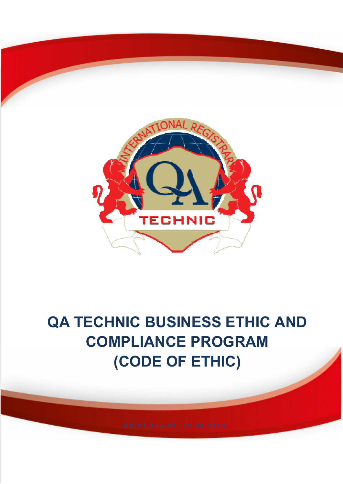

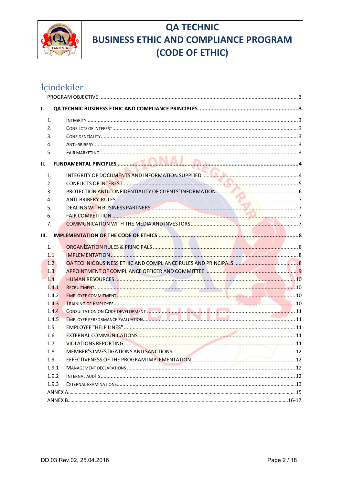

## İçindekiler

|  | CONFLICTS OF INTEREST <b>Manufacture CONFLICTS</b> OF INTEREST                                                                                                                                                                         |  |  |  |  |
|--|----------------------------------------------------------------------------------------------------------------------------------------------------------------------------------------------------------------------------------------|--|--|--|--|
|  |                                                                                                                                                                                                                                        |  |  |  |  |
|  |                                                                                                                                                                                                                                        |  |  |  |  |
|  |                                                                                                                                                                                                                                        |  |  |  |  |
|  |                                                                                                                                                                                                                                        |  |  |  |  |
|  |                                                                                                                                                                                                                                        |  |  |  |  |
|  |                                                                                                                                                                                                                                        |  |  |  |  |
|  |                                                                                                                                                                                                                                        |  |  |  |  |
|  |                                                                                                                                                                                                                                        |  |  |  |  |
|  |                                                                                                                                                                                                                                        |  |  |  |  |
|  |                                                                                                                                                                                                                                        |  |  |  |  |
|  |                                                                                                                                                                                                                                        |  |  |  |  |
|  |                                                                                                                                                                                                                                        |  |  |  |  |
|  |                                                                                                                                                                                                                                        |  |  |  |  |
|  |                                                                                                                                                                                                                                        |  |  |  |  |
|  |                                                                                                                                                                                                                                        |  |  |  |  |
|  |                                                                                                                                                                                                                                        |  |  |  |  |
|  |                                                                                                                                                                                                                                        |  |  |  |  |
|  |                                                                                                                                                                                                                                        |  |  |  |  |
|  |                                                                                                                                                                                                                                        |  |  |  |  |
|  |                                                                                                                                                                                                                                        |  |  |  |  |
|  |                                                                                                                                                                                                                                        |  |  |  |  |
|  |                                                                                                                                                                                                                                        |  |  |  |  |
|  |                                                                                                                                                                                                                                        |  |  |  |  |
|  |                                                                                                                                                                                                                                        |  |  |  |  |
|  |                                                                                                                                                                                                                                        |  |  |  |  |
|  |                                                                                                                                                                                                                                        |  |  |  |  |
|  | 1.<br>2.<br>3.<br>4.<br>5.<br>1.<br>2.<br>3.<br>4.<br>5.<br>6.<br>7.<br>III.<br>1.<br>1.1<br>1.2<br>1.3 <sub>l</sub><br>1.4<br>1.4.1<br>1.4.2<br>1.4.3<br>1.4.4<br>1.4.5<br>1.5<br>1.6<br>1.7<br>1.8<br>1.9<br>1.9.1<br>1.9.2<br>1.9.3 |  |  |  |  |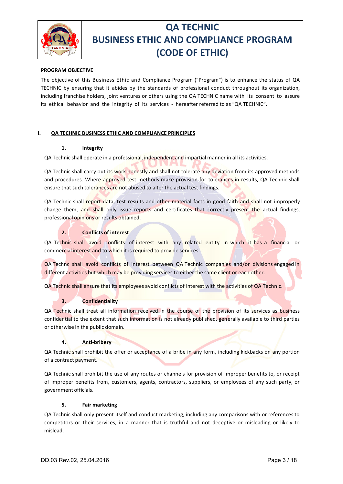

#### **PROGRAM OBJECTIVE**

The objective of this Business Ethic and Compliance Program ("Program") is to enhance the status of QA TECHNIC by ensuring that it abides by the standards of professional conduct throughout its organization, including franchise holders, joint ventures or others using the QA TECHNIC name with its consent to assure its ethical behavior and the integrity of its services - hereafter referred to as "QA TECHNIC".

#### **I. QA TECHNIC BUSINESS ETHIC AND COMPLIANCE PRINCIPLES**

#### **1. Integrity**

QA Technic shall operate in a professional, independent and impartial manner in all its activities.

QA Technic shall carry out its work honestly and shall not tolerate any deviation from its approved methods and procedures. Where approved test methods make provision for tolerances in results, QA Technic shall ensure that such tolerances are not abused to alter the actual test findings.

QA Technic shall report data, test results and other material facts in good faith and shall not improperly change them, and shall only issue reports and certificates that correctly present the actual findings, professional opinions or results obtained.

#### **2. Conflicts of interest**

QA Technic shall avoid conflicts of interest with any related entity in which it has a financial or commercial interest and to which it is required to provide services.

QA Technc shall avoid conflicts of interest between QA Technic companies and/or divisions engaged in different activities but which may be providing services to either the same client or each other.

QA Technic shall ensure that its employees avoid conflicts of interest with the activities of QA Technic.

#### **3. Confidentiality**

QA Technic shall treat all information received in the course of the provision of its services as business confidential to the extent that such information is not already published, generally available to third parties or otherwise in the public domain.

#### **4. Anti-bribery**

QA Technic shall prohibit the offer or acceptance of a bribe in any form, including kickbacks on any portion of a contract payment.

QA Technic shall prohibit the use of any routes or channels for provision of improper benefits to, or receipt of improper benefits from, customers, agents, contractors, suppliers, or employees of any such party, or government officials.

#### **5. Fair marketing**

QA Technic shall only present itself and conduct marketing, including any comparisons with or references to competitors or their services, in a manner that is truthful and not deceptive or misleading or likely to mislead.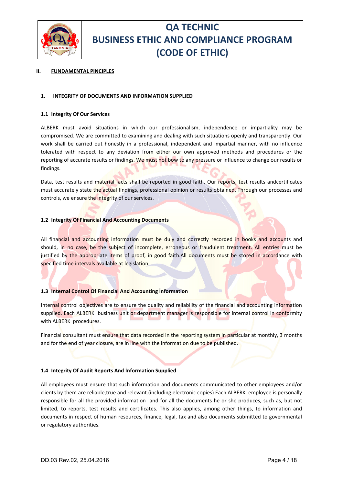

#### **II. FUNDAMENTAL PINCIPLES**

#### **1. INTEGRITY OF DOCUMENTS AND INFORMATION SUPPLIED**

#### **1.1 Integrity Of Our Services**

ALBERK must avoid situations in which our professionalism, independence or impartiality may be compromised. We are committed to examining and dealing with such situations openly and transparently. Our work shall be carried out honestly in a professional, independent and impartial manner, with no influence tolerated with respect to any deviation from either our own approved methods and procedures or the reporting of accurate results or findings. We must not bow to any pressure or influence to change our results or findings.

Data, test results and material facts shall be reported in good faith. Our reports, test results andcertificates must accurately state the actual findings, professional opinion or results obtained. Through our processes and controls, we ensure the integrity of our services.

#### **1.2 Integrity Of Financial And Accounting Documents**

All financial and accounting information must be duly and correctly recorded in books and accounts and should, in no case, be the subject of incomplete, erroneous or fraudulent treatment. All entries must be justified by the appropriate items of proof, in good faith.All documents must be stored in accordance with specified time intervals available at legislation.

#### **1.3 Internal Control Of Financial And Accounting İnformation**

Internal control objectives are to ensure the quality and reliability of the financial and accounting information supplied. Each ALBERK business unit or department manager is responsible for internal control in conformity with ALBERK procedures.

Financial consultant must ensure that data recorded in the reporting system in particular at monthly, 3 months and for the end of year closure, are in line with the information due to be published.

#### **1.4 Integrity Of Audit Reports And İnformation Supplied**

All employees must ensure that such information and documents communicated to other employees and/or clients by them are reliable,true and relevant.(including electronic copies) Each ALBERK employee is personally responsible for all the provided information and for all the documents he or she produces, such as, but not limited, to reports, test results and certificates. This also applies, among other things, to information and documents in respect of human resources, finance, legal, tax and also documents submitted to governmental or regulatory authorities.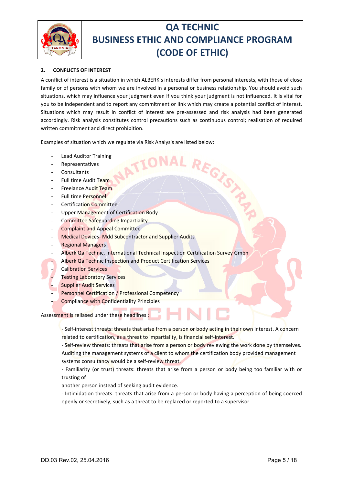

### **2. CONFLICTS OF INTEREST**

A conflict of interest is a situation in which ALBERK's interests differ from personal interests, with those of close family or of persons with whom we are involved in a personal or business relationship. You should avoid such situations, which may influence your judgment even if you think your judgment is not influenced. It is vital for you to be independent and to report any commitment or link which may create a potential conflict of interest. Situations which may result in conflict of interest are pre-assessed and risk analysis had been generated accordingly. Risk analysis constitutes control precautions such as continuous control; realisation of required written commitment and direct prohibition.

Examples of situation which we regulate via Risk Analysis are listed below:<br>
Lead Auditor Training<br>
Representatives<br>
LATILONAL REGAL COM

- Lead Auditor Training
- Representatives
- **Consultants**
- Full time Audit Team
- Freelance Audit Team
- Full time Personnel
- Certification Committee
- Upper Management of Certification Body
- Committee Safeguarding Impartiality
- Complaint and Appeal Committee
- Medical Devices- Mdd Subcontractor and Supplier Audits
- **Regional Managers**
- Alberk Qa Technic, International Technical Inspection Certification Survey Gmbh
- Alberk Qa Technic Inspection and Product Certification Services
- Calibration Services
	- **Testing Laboratory Services**
- **Supplier Audit Services**
- Personnel Certification / Professional Competency
	- Compliance with Confidentiality Principles

Assessment is reliased under these headlines;

- Self-interest threats: threats that arise from a person or body acting in their own interest. A concern related to certification, as a threat to impartiality, is financial self-interest.

- Self-review threats: threats that arise from a person or body reviewing the work done by themselves. Auditing the management systems of a client to whom the certification body provided management systems consultancy would be a self-review threat.

- Familiarity (or trust) threats: threats that arise from a person or body being too familiar with or trusting of

another person instead of seeking audit evidence.

- Intimidation threats: threats that arise from a person or body having a perception of being coerced openly or secretively, such as a threat to be replaced or reported to a supervisor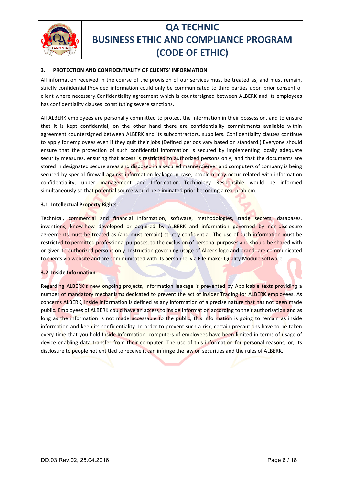

### **3. PROTECTION AND CONFIDENTIALITY OF CLIENTS' INFORMATION**

All information received in the course of the provision of our services must be treated as, and must remain, strictly confidential.Provided information could only be communicated to third parties upon prior consent of client where necessary.Confidentiality agreement which is countersigned between ALBERK and its employees has confidentiality clauses constituting severe sanctions.

All ALBERK employees are personally committed to protect the information in their possession, and to ensure that it is kept confidential, on the other hand there are confidentiality commitments available within agreement countersigned between ALBERK and its subcontractors, suppliers. Confidentiality clauses continue to apply for employees even if they quit their jobs (Defined periods vary based on standard.) Everyone should ensure that the protection of such confidential information is secured by implementing locally adequate security measures, ensuring that access is restricted to authorized persons only, and that the documents are stored in designated secure areas and disposed in a secured manner.Server and computers of company is being secured by special firewall against information leakage.In case, problem may occur related with information confidentiality; upper management and Information Technology Responsible would be informed simultaneously so that potential source would be eliminated prior becoming a real problem.

#### **3.1 Intellectual Property Rights**

Technical, commercial and financial information, software, methodologies, trade secrets, databases, inventions, know-how developed or acquired by ALBERK and information governed by non-disclosure agreements must be treated as (and must remain) strictly confidential. The use of such information must be restricted to permitted professional purposes, to the exclusion of personal purposes and should be shared with or given to authorized persons only. Instruction governing usage of Alberk logo and brand are communicated to clients via website and are communicated with its personnel via File-maker Quality Module software.

#### **3.2 Inside Information**

Regarding ALBERK's new ongoing projects, information leakage is prevented by Applicable texts providing a number of mandatory mechanisms dedicated to prevent the act of insider Trading for ALBERK employees. As concerns ALBERK, inside information is defined as any information of a precise nature that has not been made public. Employees of ALBERK could have an access to inside information according to their authorisation and as long as the information is not made accessable to the public, this information is going to remain as inside information and keep its confidentiality. In order to prevent such a risk, certain precautions have to be taken every time that you hold Inside Information, computers of employees have been limited in terms of usage of device enabling data transfer from their computer. The use of this information for personal reasons, or, its disclosure to people not entitled to receive it can infringe the law on securities and the rules of ALBERK.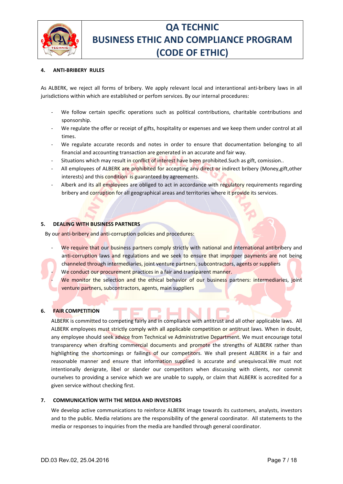

#### **4. ANTI-BRIBERY RULES**

As ALBERK, we reject all forms of bribery. We apply relevant local and interantional anti-bribery laws in all jurisdictions within which are established or perfom services. By our internal procedures:

- We follow certain specific operations such as political contributions, charitable contributions and sponsorship.
- We regulate the offer or receipt of gifts, hospitality or expenses and we keep them under control at all times.
- We regulate accurate records and notes in order to ensure that documentation belonging to all financial and accounting transaction are generated in an accurate and fair way.
- Situations which may result in conflict of interest have been prohibited. Such as gift, comission..
- All employees of ALBERK are prohibited for accepting any direct or indirect bribery (Money,gift,other interests) and this condition is guaranteed by agreements.
- Alberk and its all employees are obliged to act in accordance with regulatory requirements regarding bribery and corruption for all geographical areas and territories where it provide its services.

#### **5. DEALING WITH BUSINESS PARTNERS**

By our anti-bribery and anti-corruption policies and procedures:

- We require that our business partners comply strictly with national and international antibribery and anti-corruption laws and regulations and we seek to ensure that improper payments are not being channeled through intermediaries, joint venture partners, subcontractors, agents or suppliers
	- We conduct our procurement practices in a fair and transparent manner.
	- We monitor the selection and the ethical behavior of our business partners: intermediaries, joint venture partners, subcontractors, agents, main suppliers

#### **6. FAIR COMPETITION**

ALBERK is committed to competing fairly and in compliance with antitrust and all other applicable laws. All ALBERK employees must strictly comply with all applicable competition or antitrust laws. When in doubt, any employee should seek advice from Technical ve Administrative Department. We must encourage total transparency when drafting commercial documents and promote the strengths of ALBERK rather than highlighting the shortcomings or failings of our competitors. We shall present ALBERK in a fair and reasonable manner and ensure that information supplied is accurate and unequivocal.We must not intentionally denigrate, libel or slander our competitors when discussing with clients, nor commit ourselves to providing a service which we are unable to supply, or claim that ALBERK is accredited for a given service without checking first.

#### **7. COMMUNICATİON WITH THE MEDIA AND INVESTORS**

We develop active communications to reinforce ALBERK image towards its customers, analysts, investors and to the public. Media relations are the responsibility of the general coordinator. All statements to the media or responses to inquiries from the media are handled through general coordinator.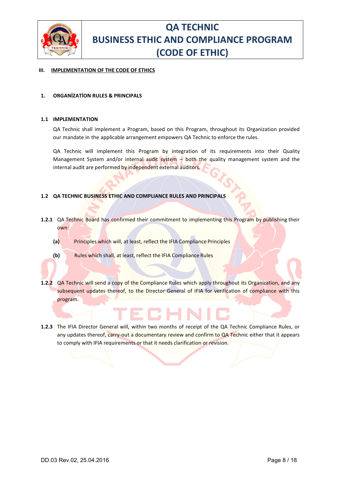

#### **III. IMPLEMENTATION OF THE CODE OF ETHICS**

#### **1. ORGANİZATİON RULES & PRINCIPALS**

#### **1.1 IMPLEMENTATION**

QA Technic shall implement a Program, based on this Program, throughout its Organization provided our mandate in the applicable arrangement empowers QA Technic to enforce the rules.

QA Technic will implement this Program by integration of its requirements into their Quality Management System and/or internal audit system - both the quality management system and the internal audit are performed by independent external auditors.

#### **1.2 QA TECHNIC BUSINESS ETHIC AND COMPLIANCE RULES AND PRINCIPALS**

- **1.2.1** QA Technic Board has confirmed their commitment to implementing this Program by publishing their own:
	- **(a)** Principles which will, at least, reflect the IFIA Compliance Principles



- **1.2.2** QA Technic will send a copy of the Compliance Rules which apply throughout its Organization, and any subsequent updates thereof, to the Director General of IFIA for verification of compliance with this program.
- **1.2.3** The IFIA Director General will, within two months of receipt of the QA Technic Compliance Rules, or any updates thereof, carry-out a documentary review and confirm to QA Technic either that it appears to comply with IFIA requirements or that it needs clarification or revision.

ECHN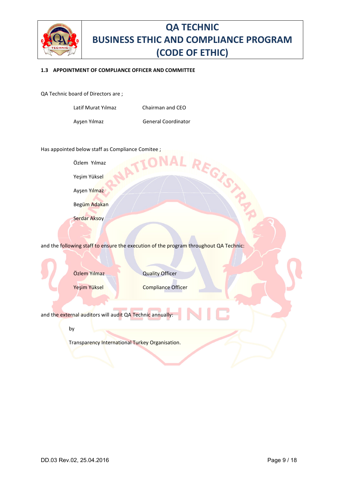

L REGISTA

#### **1.3 APPOINTMENT OF COMPLIANCE OFFICER AND COMMITTEE**

QA Technic board of Directors are ;

| Latif Murat Yılmaz | Chairman and CEO           |
|--------------------|----------------------------|
| Ayşen Yılmaz       | <b>General Coordinator</b> |

Has appointed below staff as Compliance Comitee ;

Özlem Yılmaz

Yeşim Yüksel

Ayşen Yılmaz

Begüm Adakan

Serdar Aksoy

and the following staff to ensure the execution of the program throughout QA Technic:

Özlem Yılmaz Quality Officer

Yeşim Yüksel Compliance Officer

and the external auditors will audit QA Technic annually:

by

Transparency International Turkey Organisation.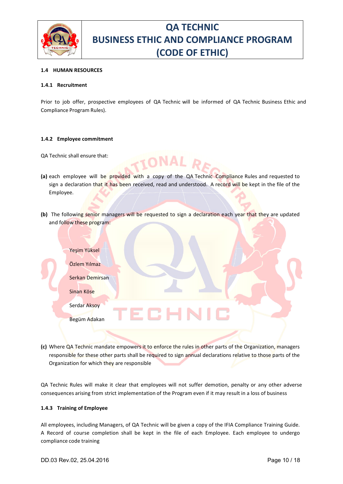

#### **1.4 HUMAN RESOURCES**

#### **1.4.1 Recruitment**

Prior to job offer, prospective employees of QA Technic will be informed of QA Technic Business Ethic and Compliance Program Rules).

#### **1.4.2 Employee commitment**

QA Technic shall ensure that:

- **(a)** each employee will be provided with a copy of the QA Technic Compliance Rules and requested to sign a declaration that it has been received, read and understood. A record will be kept in the file of the Employee.
- **(b)** The following senior managers will be requested to sign a declaration each year that they are updated and follow these program:

| Yeşim Yüksel<br>Özlem Yılmaz |
|------------------------------|
| Serkan Demirsan              |
| Sinan Köse                   |
| Serdar Aksoy                 |
| Begüm Adakan                 |
|                              |

**(c)** Where QA Technic mandate empowers it to enforce the rules in other parts of the Organization, managers responsible for these other parts shall be required to sign annual declarations relative to those parts of the Organization for which they are responsible

QA Technic Rules will make it clear that employees will not suffer demotion, penalty or any other adverse consequences arising from strict implementation of the Program even if it may result in a loss of business

#### **1.4.3 Training of Employee**

All employees, including Managers, of QA Technic will be given a copy of the IFIA Compliance Training Guide. A Record of course completion shall be kept in the file of each Employee. Each employee to undergo compliance code training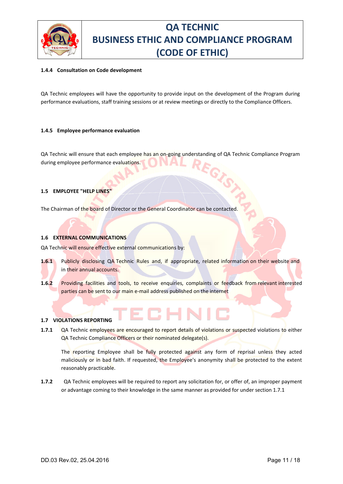

#### **1.4.4 Consultation on Code development**

QA Technic employees will have the opportunity to provide input on the development of the Program during performance evaluations, staff training sessions or at review meetings or directly to the Compliance Officers.

#### **1.4.5 Employee performance evaluation**

QA Technic will ensure that each employee has an on-going understanding of QA Technic Compliance Program during employee performance evaluations.

#### **1.5 EMPLOYEE "HELP LINES"**

The Chairman of the board of Director or the General Coordinator can be contacted

#### **1.6 EXTERNAL COMMUNICATIONS**

QA Technic will ensure effective external communications by:

- **1.6.1** Publicly disclosing QA Technic Rules and, if appropriate, related information on their website and in their annual accounts.
- **1.6.2** Providing facilities and tools, to receive enquiries, complaints or feedback from relevant interested parties can be sent to our main e-mail address published on the internet

#### **1.7 VIOLATIONS REPORTING**

**1.7.1** QA Technic employees are encouraged to report details of violations or suspected violations to either QA Technic Compliance Officers or their nominated delegate(s).

The reporting Employee shall be fully protected against any form of reprisal unless they acted maliciously or in bad faith. If requested, the Employee's anonymity shall be protected to the extent reasonably practicable.

**1.7.2** QA Technic employees will be required to report any solicitation for, or offer of, an improper payment or advantage coming to their knowledge in the same manner as provided for under section 1.7.1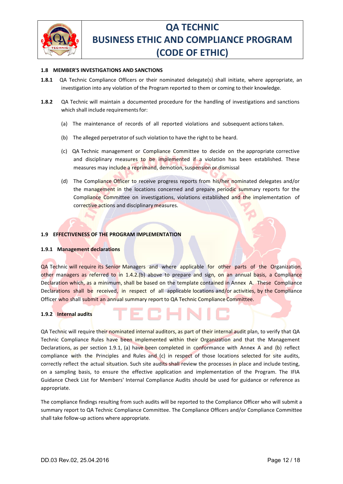

#### **1.8 MEMBER'S INVESTIGATIONS AND SANCTIONS**

- **1.8.1** QA Technic Compliance Officers or their nominated delegate(s) shall initiate, where appropriate, an investigation into any violation of the Program reported to them or coming to their knowledge.
- **1.8.2** QA Technic will maintain a documented procedure for the handling of investigations and sanctions which shall include requirements for:
	- (a) The maintenance of records of all reported violations and subsequent actions taken.
	- (b) The alleged perpetrator of such violation to have the right to be heard.
	- (c) QA Technic management or Compliance Committee to decide on the appropriate corrective and disciplinary measures to be implemented if a violation has been established. These measures may include a reprimand, demotion, suspension or dismissal
	- (d) The Compliance Officer to receive progress reports from his/her nominated delegates and/or the management in the locations concerned and prepare periodic summary reports for the Compliance Committee on investigations, violations established and the implementation of corrective actions and disciplinary measures.

#### **1.9 EFFECTIVENESS OF THE PROGRAM IMPLEMENTATION**

#### **1.9.1 Management declarations**

QA Technic will require its Senior Managers and where applicable for other parts of the Organization, other managers as referred to in 1.4.2.(b) above to prepare and sign, on an annual basis, a Compliance Declaration which, as a minimum, shall be based on the template contained in Annex A. These Compliance Declarations shall be received, in respect of all applicable locations and/or activities, by the Compliance Officer who shall submit an annual summary report to QA Technic Compliance Committee.

#### **1.9.2 Internal audits**

QA Technic will require their nominated internal auditors, as part of their internal audit plan, to verify that QA Technic Compliance Rules have been implemented within their Organization and that the Management Declarations, as per section 1.9.1, (a) have been completed in conformance with Annex A and (b) reflect compliance with the Principles and Rules and (c) in respect of those locations selected for site audits, correctly reflect the actual situation. Such site audits shall review the processes in place and include testing, on a sampling basis, to ensure the effective application and implementation of the Program. The IFIA Guidance Check List for Members' Internal Compliance Audits should be used for guidance or reference as appropriate.

The compliance findings resulting from such audits will be reported to the Compliance Officer who will submit a summary report to QA Technic Compliance Committee. The Compliance Officers and/or Compliance Committee shall take follow-up actions where appropriate.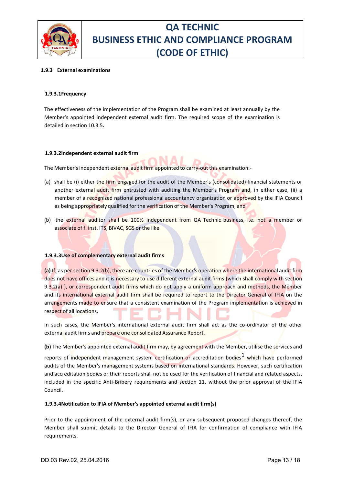

#### **1.9.3 External examinations**

#### **1.9.3.1Frequency**

The effectiveness of the implementation of the Program shall be examined at least annually by the Member's appointed independent external audit firm. The required scope of the examination is detailed in section 10.3.5**.**

#### **1.9.3.2Independent external audit firm**

The Member's independent external audit firm appointed to carry-out this examination:-

- (a) shall be (i) either the firm engaged for the audit of the Member's (consolidated) financial statements or another external audit firm entrusted with auditing the Member's Program and, in either case, (ii) a member of a recognized national professional accountancy organization or approved by the IFIA Council as being appropriately qualified for the verification of the Member's Program, and
- (b) the external auditor shall be 100% independent from QA Technic business, i.e. not a member or associate of f. inst. ITS, BIVAC, SGS or the like.

#### **1.9.3.3Use of complementary external audit firms**

**(a)** If, as per section 9.3.2(b), there are countries of the Member's operation where the international audit firm does not have offices and it is necessary to use different external audit firms (which shall comply with section 9.3.2(a) ), or correspondent audit firms which do not apply a uniform approach and methods, the Member and its international external audit firm shall be required to report to the Director General of IFIA on the arrangements made to ensure that a consistent examination of the Program implementation is achieved in respect of all locations.

In such cases, the Member's international external audit firm shall act as the co-ordinator of the other external audit firms and prepare one consolidated Assurance Report.

**(b)** The Member's appointed external audit firm may, by agreement with the Member, utilise the services and

reports of independent management system certification or accreditation bodies<sup>1</sup> which have performed audits of the Member's management systems based on international standards. However, such certification and accreditation bodies or their reports shall not be used for the verification of financial and related aspects, included in the specific Anti-Bribery requirements and section 11, without the prior approval of the IFIA Council.

#### **1.9.3.4Notification to IFIA of Member's appointed external audit firm(s)**

Prior to the appointment of the external audit firm(s), or any subsequent proposed changes thereof, the Member shall submit details to the Director General of IFIA for confirmation of compliance with IFIA requirements.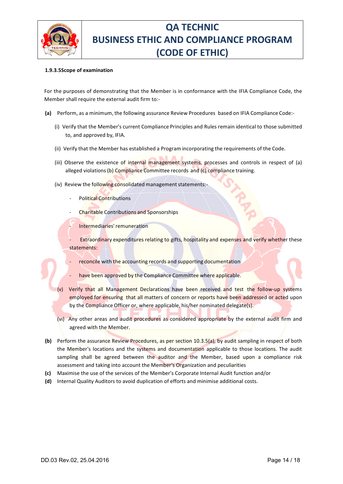

#### **1.9.3.5Scope of examination**

For the purposes of demonstrating that the Member is in conformance with the IFIA Compliance Code, the Member shall require the external audit firm to:-

- **(a)** Perform, as a minimum, the following assurance Review Procedures based on IFIA Compliance Code:-
	- (i) Verify that the Member's current Compliance Principles and Rules remain identical to those submitted to, and approved by, IFIA.
	- (ii) Verify that the Member has established a Program incorporating the requirements of the Code.
	- (iii) Observe the existence of internal management systems, processes and controls in respect of (a) alleged violations (b) Compliance Committee records and (c) compliance training.
	- (iv) Review the following consolidated management statements:-
		- Political Contributions
			- Charitable Contributions and Sponsorships
			- Intermediaries' remuneration
		- Extraordinary expenditures relating to gifts, hospitality and expenses and verify whether these statements:
			- reconcile with the accounting records and supporting documentation
			- have been approved by the Compliance Committee where applicable.
	- (v) Verify that all Management Declarations have been received and test the follow-up systems employed for ensuring that all matters of concern or reports have been addressed or acted upon by the Compliance Officer or, where applicable, his/her nominated delegate(s).
	- (vı) Any other areas and audit procedures as considered appropriate by the external audit firm and agreed with the Member.
- **(b)** Perform the assurance Review Procedures, as per section 10.3.5(a), by audit sampling in respect of both the Member's locations and the systems and documentation applicable to those locations. The audit sampling shall be agreed between the auditor and the Member, based upon a compliance risk assessment and taking into account the Member's Organization and peculiarities
- **(c)** Maximise the use of the services of the Member's Corporate Internal Audit function and/or
- **(d)** Internal Quality Auditors to avoid duplication of efforts and minimise additional costs.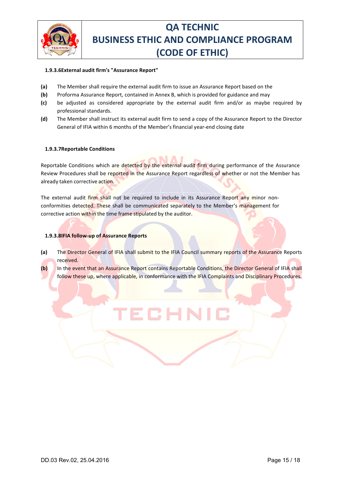

#### **1.9.3.6External audit firm's "Assurance Report"**

- **(a)** The Member shall require the external audit firm to issue an Assurance Report based on the
- **(b)** Proforma Assurance Report, contained in Annex B, which is provided for guidance and may
- **(c)** be adjusted as considered appropriate by the external audit firm and/or as maybe required by professional standards.
- **(d)** The Member shall instruct its external audit firm to send a copy of the Assurance Report to the Director General of IFIA within 6 months of the Member's financial year-end closing date

#### **1.9.3.7Reportable Conditions**

Reportable Conditions which are detected by the external audit firm during performance of the Assurance Review Procedures shall be reported in the Assurance Report regardless of whether or not the Member has already taken corrective action.

The external audit firm shall not be required to include in its Assurance Report any minor nonconformities detected. These shall be communicated separately to the Member's management for corrective action within the time frame stipulated by the auditor.

#### **1.9.3.8IFIA follow-up of Assurance Reports**

- **(a)** The Director General of IFIA shall submit to the IFIA Council summary reports of the Assurance Reports received.
- **(b)** In the event that an Assurance Report contains Reportable Conditions, the Director General of IFIA shall follow these up, where applicable, in conformance with the IFIA Complaints and Disciplinary Procedures.

ECH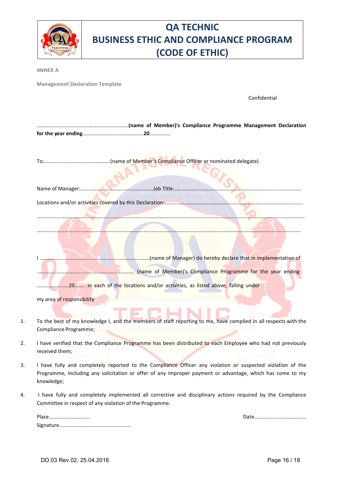| ONAL REGISTA<br><b>TECHNIC</b> |
|--------------------------------|
|                                |

**ANNEX A**

**Management Declaration Template**

Confidential

|                           | (name of Manager) do hereby declare that in implementation of                                                   |
|---------------------------|-----------------------------------------------------------------------------------------------------------------|
|                           |                                                                                                                 |
|                           | manufacturery of Member)'s Compliance Programme for the year ending                                             |
|                           |                                                                                                                 |
|                           | 20 in each of the locations and/or activities, as listed above, falling under                                   |
| my area of responsibility |                                                                                                                 |
|                           |                                                                                                                 |
|                           |                                                                                                                 |
|                           | To the best of my knowledge I, and the members of staff reporting to me, have complied in all respects with the |
|                           | Compliance Programme;                                                                                           |

- 2. I have verified that the Compliance Programme has been distributed to each Employee who had not previously received them;
- 3. I have fully and completely reported to the Compliance Officer any violation or suspected violation of the Programme, including any solicitation or offer of any improper payment or advantage, which has come to my knowledge;
- 4. I have fully and completely implemented all corrective and disciplinary actions required by the Compliance Committee in respect of any violation of the Programme.

| Dŀ<br>               |  |
|----------------------|--|
| $\sim$<br><b>SIE</b> |  |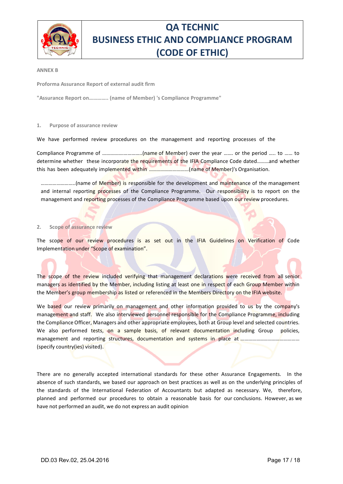

#### **ANNEX B**

**Proforma Assurance Report of external audit firm**

**"Assurance Report on………….. (name of Member) 's Compliance Programme"**

#### **1. Purpose of assurance review**

We have performed review procedures on the management and reporting processes of the

Compliance Programme of …………….…………..(name of Member) over the year ……. or the period ….. to …… to determine whether these incorporate the requirements of the IFIA Compliance Code dated………and whether this has been adequately implemented within …………………………(name of Member)'s Organisation.

……………………..(name of Member) is responsible for the development and maintenance of the management and internal reporting processes of the Compliance Programme. Our responsibility is to report on the management and reporting processes of the Compliance Programme based upon our review procedures.

#### **2. Scope of assurance review**

The scope of our review procedures is as set out in the IFIA Guidelines on Verification of Code Implementation under "Scope of examination".

The scope of the review included verifying that management declarations were received from all senior managers as identified by the Member, including listing at least one in respect of each Group Member within the Member's group membership as listed or referenced in the Members Directory on the IFIA website.

We based our review primarily on management and other information provided to us by the company's management and staff. We also interviewed personnel responsible for the Compliance Programme, including the Compliance Officer, Managers and other appropriate employees, both at Group level and selected countries. We also performed tests, on a sample basis, of relevant documentation including Group policies, management and reporting structures, documentation and systems in place at ……………………………………………………………… (specify country(ies) visited).

There are no generally accepted international standards for these other Assurance Engagements. In the absence of such standards, we based our approach on best practices as well as on the underlying principles of the standards of the International Federation of Accountants but adapted as necessary. We, therefore, planned and performed our procedures to obtain a reasonable basis for our conclusions. However, as we have not performed an audit, we do not express an audit opinion